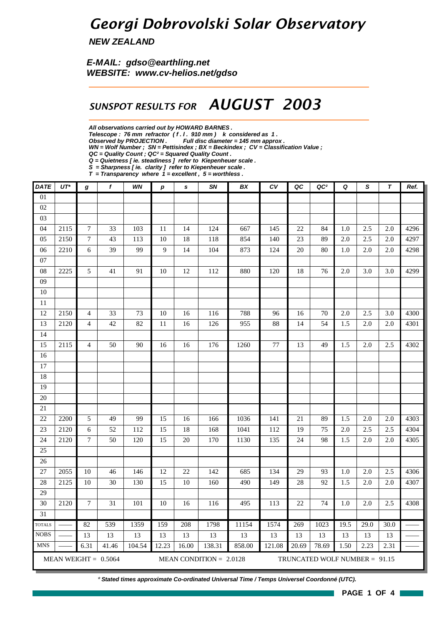### *Georgi Dobrovolski Solar Observatory*

*NEW ZEALAND*

*E-MAIL: gdso@earthling.net WEBSITE: www.cv-helios.net/gdso*

### *SUNSPOT RESULTS FOR AUGUST 2003*

*All observations carried out by HOWARD BARNES .*

*Telescope : 76 mm refractor ( f . l . 910 mm ) k considered as 1 .*

*Observed by PROJECTION . Full disc diameter = 145 mm approx .*

*WN = Wolf Number ; SN = Pettisindex ; BX = Beckindex ; CV = Classification Value ;*

*Q = Quietness [ ie. steadiness ] refer to Kiepenheuer scale .*

*S = Sharpness [ ie. clarity ] refer to Kiepenheuer scale . T = Transparency where 1 = excellent , 5 = worthless .*

| <b>DATE</b>     | $UT^*$ | g                | f                      | WN     | $\boldsymbol{p}$ | $\mathbf s$ | SN                        | BX     | c <sub>V</sub> | QC    | QC <sup>2</sup>                 | Q    | S    | T    | Ref. |
|-----------------|--------|------------------|------------------------|--------|------------------|-------------|---------------------------|--------|----------------|-------|---------------------------------|------|------|------|------|
| $\overline{01}$ |        |                  |                        |        |                  |             |                           |        |                |       |                                 |      |      |      |      |
| 02              |        |                  |                        |        |                  |             |                           |        |                |       |                                 |      |      |      |      |
| 03              |        |                  |                        |        |                  |             |                           |        |                |       |                                 |      |      |      |      |
| 04              | 2115   | $\boldsymbol{7}$ | 33                     | 103    | 11               | 14          | 124                       | 667    | 145            | 22    | 84                              | 1.0  | 2.5  | 2.0  | 4296 |
| 05              | 2150   | $\boldsymbol{7}$ | 43                     | 113    | 10               | 18          | 118                       | 854    | 140            | 23    | 89                              | 2.0  | 2.5  | 2.0  | 4297 |
| 06              | 2210   | $\sqrt{6}$       | 39                     | 99     | $\overline{9}$   | 14          | 104                       | 873    | 124            | 20    | 80                              | 1.0  | 2.0  | 2.0  | 4298 |
| 07              |        |                  |                        |        |                  |             |                           |        |                |       |                                 |      |      |      |      |
| 08              | 2225   | 5                | 41                     | 91     | 10               | 12          | 112                       | 880    | 120            | 18    | 76                              | 2.0  | 3.0  | 3.0  | 4299 |
| 09              |        |                  |                        |        |                  |             |                           |        |                |       |                                 |      |      |      |      |
| 10              |        |                  |                        |        |                  |             |                           |        |                |       |                                 |      |      |      |      |
| 11              |        |                  |                        |        |                  |             |                           |        |                |       |                                 |      |      |      |      |
| 12              | 2150   | 4                | 33                     | 73     | 10               | 16          | 116                       | 788    | 96             | 16    | 70                              | 2.0  | 2.5  | 3.0  | 4300 |
| 13              | 2120   | $\overline{4}$   | 42                     | 82     | 11               | 16          | 126                       | 955    | 88             | 14    | 54                              | 1.5  | 2.0  | 2.0  | 4301 |
| 14              |        |                  |                        |        |                  |             |                           |        |                |       |                                 |      |      |      |      |
| 15              | 2115   | $\overline{4}$   | 50                     | 90     | 16               | 16          | 176                       | 1260   | 77             | 13    | 49                              | 1.5  | 2.0  | 2.5  | 4302 |
| 16              |        |                  |                        |        |                  |             |                           |        |                |       |                                 |      |      |      |      |
| 17              |        |                  |                        |        |                  |             |                           |        |                |       |                                 |      |      |      |      |
| 18              |        |                  |                        |        |                  |             |                           |        |                |       |                                 |      |      |      |      |
| 19              |        |                  |                        |        |                  |             |                           |        |                |       |                                 |      |      |      |      |
| 20              |        |                  |                        |        |                  |             |                           |        |                |       |                                 |      |      |      |      |
| 21              |        |                  |                        |        |                  |             |                           |        |                |       |                                 |      |      |      |      |
| 22              | 2200   | 5                | 49                     | 99     | 15               | 16          | 166                       | 1036   | 141            | 21    | 89                              | 1.5  | 2.0  | 2.0  | 4303 |
| 23              | 2120   | 6                | 52                     | 112    | 15               | 18          | 168                       | 1041   | 112            | 19    | 75                              | 2.0  | 2.5  | 2.5  | 4304 |
| 24              | 2120   | $\boldsymbol{7}$ | 50                     | 120    | 15               | 20          | 170                       | 1130   | 135            | 24    | 98                              | 1.5  | 2.0  | 2.0  | 4305 |
| 25              |        |                  |                        |        |                  |             |                           |        |                |       |                                 |      |      |      |      |
| 26              |        |                  |                        |        |                  |             |                           |        |                |       |                                 |      |      |      |      |
| 27              | 2055   | 10               | 46                     | 146    | 12               | 22          | 142                       | 685    | 134            | 29    | 93                              | 1.0  | 2.0  | 2.5  | 4306 |
| 28              | 2125   | 10               | 30                     | 130    | 15               | 10          | 160                       | 490    | 149            | 28    | 92                              | 1.5  | 2.0  | 2.0  | 4307 |
| 29              |        |                  |                        |        |                  |             |                           |        |                |       |                                 |      |      |      |      |
| 30              | 2120   | $\overline{7}$   | 31                     | 101    | 10               | 16          | 116                       | 495    | 113            | 22    | 74                              | 1.0  | 2.0  | 2.5  | 4308 |
| 31              |        |                  |                        |        |                  |             |                           |        |                |       |                                 |      |      |      |      |
| <b>TOTALS</b>   |        | 82               | 539                    | 1359   | 159              | 208         | 1798                      | 11154  | 1574           | 269   | 1023                            | 19.5 | 29.0 | 30.0 |      |
| <b>NOBS</b>     |        | 13               | 13                     | 13     | 13               | 13          | 13                        | 13     | 13             | 13    | 13                              | 13   | 13   | 13   |      |
| <b>MNS</b>      |        | 6.31             | 41.46                  | 104.54 | 12.23            | 16.00       | 138.31                    | 858.00 | 121.08         | 20.69 | 78.69                           | 1.50 | 2.23 | 2.31 |      |
|                 |        |                  | MEAN WEIGHT = $0.5064$ |        |                  |             | MEAN CONDITION = $2.0128$ |        |                |       | TRUNCATED WOLF NUMBER = $91.15$ |      |      |      |      |

*\* Stated times approximate Co-ordinated Universal Time / Temps Universel Coordonné (UTC).*

*QC = Quality Count ; QC² = Squared Quality Count .*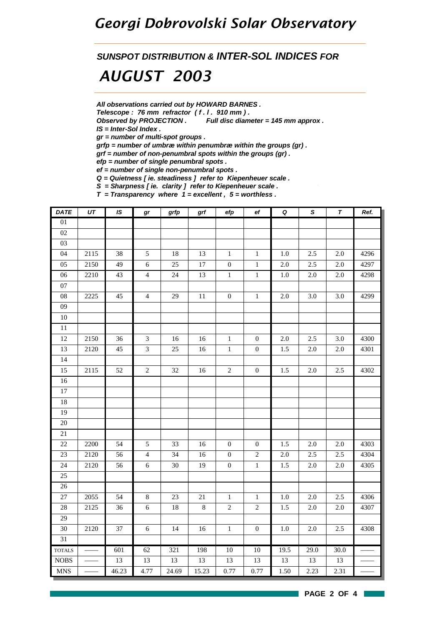### *Georgi Dobrovolski Solar Observatory*

*SUNSPOT DISTRIBUTION & INTER-SOL INDICES FOR*

## *AUGUST 2003*

*All observations carried out by HOWARD BARNES .*

*Telescope : 76 mm refractor ( f . l . 910 mm ) .*

*Observed by PROJECTION . Full disc diameter = 145 mm approx .*

*IS = Inter-Sol Index .*

*gr = number of multi-spot groups .*

*grfp = number of umbræ within penumbræ within the groups (gr) .*

*grf = number of non-penumbral spots within the groups (gr) .*

*efp = number of single penumbral spots .*

*ef = number of single non-penumbral spots .*

*Q = Quietness [ ie. steadiness ] refer to Kiepenheuer scale .*

*S = Sharpness [ ie. clarity ] refer to Kiepenheuer scale .*

*T = Transparency where 1 = excellent , 5 = worthless .*

| DATE          | UT   | IS    | gr             | grfp            | grf    | efp              | $_{\rm ef}$      | $\pmb Q$ | $\overline{s}$ | $\overline{\boldsymbol{r}}$ | Ref. |
|---------------|------|-------|----------------|-----------------|--------|------------------|------------------|----------|----------------|-----------------------------|------|
| 01            |      |       |                |                 |        |                  |                  |          |                |                             |      |
| 02            |      |       |                |                 |        |                  |                  |          |                |                             |      |
| 03            |      |       |                |                 |        |                  |                  |          |                |                             |      |
| 04            | 2115 | 38    | $\sqrt{5}$     | 18              | 13     | $1\,$            | $\mathbf{1}$     | $1.0\,$  | 2.5            | 2.0                         | 4296 |
| 05            | 2150 | 49    | $\sqrt{6}$     | 25              | $17\,$ | $\boldsymbol{0}$ | $\,1\,$          | $2.0\,$  | 2.5            | $2.0\,$                     | 4297 |
| 06            | 2210 | 43    | $\overline{4}$ | 24              | 13     | $\,1\,$          | $\mathbf{1}$     | $1.0\,$  | 2.0            | 2.0                         | 4298 |
| $07\,$        |      |       |                |                 |        |                  |                  |          |                |                             |      |
| ${\bf 08}$    | 2225 | 45    | $\overline{4}$ | 29              | $11\,$ | $\boldsymbol{0}$ | $\,1\,$          | $2.0\,$  | 3.0            | 3.0                         | 4299 |
| $09\,$        |      |       |                |                 |        |                  |                  |          |                |                             |      |
| $10\,$        |      |       |                |                 |        |                  |                  |          |                |                             |      |
| $11\,$        |      |       |                |                 |        |                  |                  |          |                |                             |      |
| 12            | 2150 | 36    | $\mathfrak{Z}$ | 16              | $16\,$ | $\,1\,$          | $\boldsymbol{0}$ | $2.0\,$  | 2.5            | 3.0                         | 4300 |
| 13            | 2120 | 45    | $\overline{3}$ | 25              | $16\,$ | $\mathbf{1}$     | $\boldsymbol{0}$ | 1.5      | 2.0            | 2.0                         | 4301 |
| 14            |      |       |                |                 |        |                  |                  |          |                |                             |      |
| 15            | 2115 | 52    | $\sqrt{2}$     | 32              | 16     | $\sqrt{2}$       | $\boldsymbol{0}$ | 1.5      | $2.0\,$        | 2.5                         | 4302 |
| 16            |      |       |                |                 |        |                  |                  |          |                |                             |      |
| $17\,$        |      |       |                |                 |        |                  |                  |          |                |                             |      |
| 18            |      |       |                |                 |        |                  |                  |          |                |                             |      |
| 19            |      |       |                |                 |        |                  |                  |          |                |                             |      |
| $20\,$        |      |       |                |                 |        |                  |                  |          |                |                             |      |
| $21\,$        |      |       |                |                 |        |                  |                  |          |                |                             |      |
| 22            | 2200 | 54    | $\mathfrak{S}$ | 33              | 16     | $\boldsymbol{0}$ | $\boldsymbol{0}$ | 1.5      | $2.0\,$        | $2.0\,$                     | 4303 |
| 23            | 2120 | 56    | $\overline{4}$ | $\overline{34}$ | 16     | $\boldsymbol{0}$ | $\sqrt{2}$       | $2.0\,$  | 2.5            | 2.5                         | 4304 |
| 24            | 2120 | 56    | $\sqrt{6}$     | 30              | 19     | $\boldsymbol{0}$ | $\,1\,$          | 1.5      | $2.0\,$        | $2.0\,$                     | 4305 |
| 25            |      |       |                |                 |        |                  |                  |          |                |                             |      |
| 26            |      |       |                |                 |        |                  |                  |          |                |                             |      |
| 27            | 2055 | 54    | $\,8\,$        | $23\,$          | 21     | $\,1$            | $\,1\,$          | $1.0\,$  | $2.0\,$        | 2.5                         | 4306 |
| $28\,$        | 2125 | 36    | $6\,$          | $18\,$          | $8\,$  | $\overline{c}$   | $\overline{2}$   | 1.5      | 2.0            | 2.0                         | 4307 |
| 29            |      |       |                |                 |        |                  |                  |          |                |                             |      |
| 30            | 2120 | 37    | $\sqrt{6}$     | 14              | 16     | $1\,$            | $\boldsymbol{0}$ | 1.0      | $2.0\,$        | 2.5                         | 4308 |
| 31            |      |       |                |                 |        |                  |                  |          |                |                             |      |
| <b>TOTALS</b> |      | 601   | 62             | 321             | 198    | 10               | 10               | 19.5     | 29.0           | 30.0                        |      |
| <b>NOBS</b>   |      | 13    | 13             | $13\,$          | 13     | 13               | 13               | 13       | 13             | 13                          |      |
| <b>MNS</b>    |      | 46.23 | 4.77           | 24.69           | 15.23  | 0.77             | 0.77             | 1.50     | 2.23           | 2.31                        |      |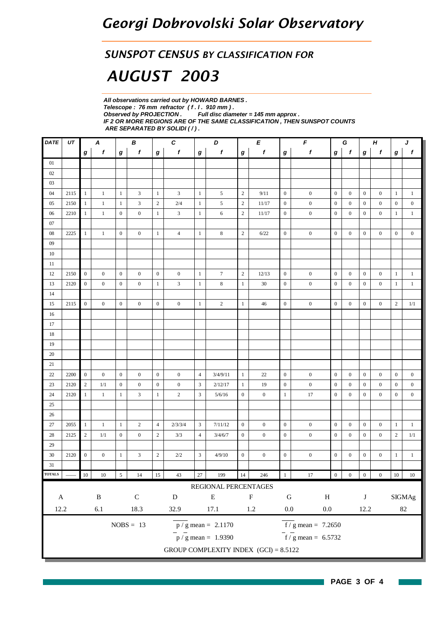### *SUNSPOT CENSUS BY CLASSIFICATION FOR*

# *AUGUST 2003*

*All observations carried out by HOWARD BARNES . Telescope : 76 mm refractor ( f . l . 910 mm ) . Full disc diameter = 145 mm approx . IF 2 OR MORE REGIONS ARE OF THE SAME CLASSIFICATION , THEN SUNSPOT COUNTS ARE SEPARATED BY SOLIDI ( / ) .*

| <b>DATE</b>   | UT   | C<br>A<br>В<br>D<br>Е |                  |                  |                  |                | $\pmb{\digamma}$<br>Н<br>G |                |                                 |                  |                                         | J                |                                           |                  |                  |                  |                  |                  |                  |
|---------------|------|-----------------------|------------------|------------------|------------------|----------------|----------------------------|----------------|---------------------------------|------------------|-----------------------------------------|------------------|-------------------------------------------|------------------|------------------|------------------|------------------|------------------|------------------|
|               |      | g                     | f                | g                | f                | $\bm{g}$       | f                          | $\bm{g}$       | f                               | g                | f                                       | $\bm{g}$         | $\boldsymbol{f}$                          | g                | $\mathbf f$      | $\boldsymbol{g}$ | f                | g                | $\boldsymbol{f}$ |
| 01            |      |                       |                  |                  |                  |                |                            |                |                                 |                  |                                         |                  |                                           |                  |                  |                  |                  |                  |                  |
| 02            |      |                       |                  |                  |                  |                |                            |                |                                 |                  |                                         |                  |                                           |                  |                  |                  |                  |                  |                  |
| 03            |      |                       |                  |                  |                  |                |                            |                |                                 |                  |                                         |                  |                                           |                  |                  |                  |                  |                  |                  |
| 04            | 2115 | $\mathbf{1}$          | $\mathbf{1}$     | $\mathbf{1}$     | 3                | $\mathbf{1}$   | 3                          | $\mathbf{1}$   | 5                               | $\mathbf{2}$     | 9/11                                    | $\mathbf{0}$     | $\boldsymbol{0}$                          | $\boldsymbol{0}$ | $\mathbf{0}$     | $\mathbf{0}$     | $\boldsymbol{0}$ | $\mathbf{1}$     | $\mathbf{1}$     |
| 05            | 2150 | $\mathbf{1}$          | $\mathbf{1}$     | $\mathbf{1}$     | 3                | $\overline{2}$ | $2/4$                      | 1              | 5                               | $\sqrt{2}$       | 11/17                                   | $\boldsymbol{0}$ | $\boldsymbol{0}$                          | $\boldsymbol{0}$ | $\mathbf{0}$     | $\boldsymbol{0}$ | $\boldsymbol{0}$ | $\mathbf{0}$     | $\boldsymbol{0}$ |
| 06            | 2210 | $\mathbf{1}$          | $\,1$            | $\mathbf{0}$     | $\boldsymbol{0}$ | $\mathbf{1}$   | 3                          | $\mathbf{1}$   | 6                               | $\sqrt{2}$       | 11/17                                   | $\mathbf{0}$     | $\mathbf{0}$                              | $\mathbf{0}$     | $\mathbf{0}$     | $\boldsymbol{0}$ | $\mathbf{0}$     | $\mathbf{1}$     | $\mathbf{1}$     |
| 07            |      |                       |                  |                  |                  |                |                            |                |                                 |                  |                                         |                  |                                           |                  |                  |                  |                  |                  |                  |
| 08            | 2225 | $\mathbf{1}$          | $\mathbf{1}$     | $\mathbf{0}$     | $\boldsymbol{0}$ | $\mathbf{1}$   | $\overline{4}$             | $\mathbf{1}$   | $\,$ 8 $\,$                     | $\sqrt{2}$       | 6/22                                    | $\boldsymbol{0}$ | $\boldsymbol{0}$                          | $\boldsymbol{0}$ | $\overline{0}$   | $\boldsymbol{0}$ | $\boldsymbol{0}$ | $\mathbf{0}$     | $\boldsymbol{0}$ |
| 09            |      |                       |                  |                  |                  |                |                            |                |                                 |                  |                                         |                  |                                           |                  |                  |                  |                  |                  |                  |
| 10            |      |                       |                  |                  |                  |                |                            |                |                                 |                  |                                         |                  |                                           |                  |                  |                  |                  |                  |                  |
| 11            |      |                       |                  |                  |                  |                |                            |                |                                 |                  |                                         |                  |                                           |                  |                  |                  |                  |                  |                  |
| 12            | 2150 | $\overline{0}$        | $\mathbf{0}$     | $\mathbf{0}$     | $\boldsymbol{0}$ | $\overline{0}$ | $\mathbf{0}$               | $\mathbf{1}$   | $\boldsymbol{7}$                | $\sqrt{2}$       | 12/13                                   | $\boldsymbol{0}$ | $\boldsymbol{0}$                          | $\boldsymbol{0}$ | $\mathbf{0}$     | $\boldsymbol{0}$ | $\boldsymbol{0}$ | $\mathbf{1}$     | $\mathbf{1}$     |
| 13            | 2120 | $\mathbf{0}$          | $\mathbf{0}$     | $\mathbf{0}$     | $\mathbf{0}$     | $\mathbf{1}$   | 3                          | $\mathbf{1}$   | 8                               | $\mathbf{1}$     | 30                                      | $\boldsymbol{0}$ | $\boldsymbol{0}$                          | $\boldsymbol{0}$ | $\overline{0}$   | $\boldsymbol{0}$ | $\boldsymbol{0}$ | $\mathbf{1}$     | $\mathbf{1}$     |
| 14            |      |                       |                  |                  |                  |                |                            |                |                                 |                  |                                         |                  |                                           |                  |                  |                  |                  |                  |                  |
| 15            | 2115 | $\mathbf{0}$          | $\mathbf{0}$     | $\boldsymbol{0}$ | $\mathbf{0}$     | $\mathbf{0}$   | $\boldsymbol{0}$           | $\mathbf{1}$   | $\mathbf{2}$                    | $\mathbf{1}$     | 46                                      | $\mathbf{0}$     | $\mathbf{0}$                              | $\boldsymbol{0}$ | $\overline{0}$   | $\boldsymbol{0}$ | $\boldsymbol{0}$ | $\overline{2}$   | 1/1              |
| 16            |      |                       |                  |                  |                  |                |                            |                |                                 |                  |                                         |                  |                                           |                  |                  |                  |                  |                  |                  |
| 17            |      |                       |                  |                  |                  |                |                            |                |                                 |                  |                                         |                  |                                           |                  |                  |                  |                  |                  |                  |
| 18            |      |                       |                  |                  |                  |                |                            |                |                                 |                  |                                         |                  |                                           |                  |                  |                  |                  |                  |                  |
| 19            |      |                       |                  |                  |                  |                |                            |                |                                 |                  |                                         |                  |                                           |                  |                  |                  |                  |                  |                  |
| 20            |      |                       |                  |                  |                  |                |                            |                |                                 |                  |                                         |                  |                                           |                  |                  |                  |                  |                  |                  |
| 21            |      |                       |                  |                  |                  |                |                            |                |                                 |                  |                                         |                  |                                           |                  |                  |                  |                  |                  |                  |
| 22            | 2200 | $\mathbf{0}$          | $\overline{0}$   | $\mathbf{0}$     | $\mathbf{0}$     | $\mathbf{0}$   | $\boldsymbol{0}$           | $\overline{4}$ | 3/4/9/11                        | $\mathbf{1}$     | 22                                      | $\mathbf{0}$     | $\boldsymbol{0}$                          | $\mathbf{0}$     | $\overline{0}$   | $\boldsymbol{0}$ | $\mathbf{0}$     | $\boldsymbol{0}$ | $\overline{0}$   |
| 23            | 2120 | $\mathbf{2}$          | 1/1              | $\mathbf{0}$     | $\mathbf{0}$     | $\overline{0}$ | $\boldsymbol{0}$           | 3              | 2/12/17                         | $\mathbf{1}$     | 19                                      | $\mathbf{0}$     | $\boldsymbol{0}$                          | $\boldsymbol{0}$ | $\mathbf{0}$     | $\boldsymbol{0}$ | $\boldsymbol{0}$ | $\boldsymbol{0}$ | $\boldsymbol{0}$ |
| 24            | 2120 | $\mathbf{1}$          | $\mathbf{1}$     | $\mathbf{1}$     | 3                | $\mathbf{1}$   | $\overline{c}$             | 3              | 5/6/16                          | $\boldsymbol{0}$ | $\boldsymbol{0}$                        | $\mathbf{1}$     | 17                                        | $\mathbf{0}$     | $\mathbf{0}$     | $\boldsymbol{0}$ | $\boldsymbol{0}$ | $\mathbf{0}$     | $\boldsymbol{0}$ |
| 25            |      |                       |                  |                  |                  |                |                            |                |                                 |                  |                                         |                  |                                           |                  |                  |                  |                  |                  |                  |
| 26            |      |                       |                  |                  |                  |                |                            |                |                                 |                  |                                         |                  |                                           |                  |                  |                  |                  |                  |                  |
| $27\,$        | 2055 | $\mathbf{1}$          | $\mathbf{1}$     | $\mathbf{1}$     | $\overline{c}$   | $\overline{4}$ | 2/3/3/4                    | 3              | 7/11/12                         | $\mathbf{0}$     | $\boldsymbol{0}$                        | $\mathbf{0}$     | $\boldsymbol{0}$                          | $\boldsymbol{0}$ | $\boldsymbol{0}$ | $\boldsymbol{0}$ | $\boldsymbol{0}$ | $\mathbf{1}$     | $\mathbf{1}$     |
| 28            | 2125 | $\mathbf{2}$          | 1/1              | $\mathbf{0}$     | $\mathbf{0}$     | $\overline{c}$ | 3/3                        | $\overline{4}$ | 3/4/6/7                         | $\boldsymbol{0}$ | $\boldsymbol{0}$                        | $\boldsymbol{0}$ | $\boldsymbol{0}$                          | $\boldsymbol{0}$ | $\overline{0}$   | $\overline{0}$   | $\boldsymbol{0}$ | $\sqrt{2}$       | $1/1\,$          |
| 29            |      |                       |                  |                  |                  |                |                            |                |                                 |                  |                                         |                  |                                           |                  |                  |                  |                  |                  |                  |
| 30            | 2120 | $\boldsymbol{0}$      | $\boldsymbol{0}$ | 1                | 3                | $\sqrt{2}$     | 2/2                        | 3              | 4/9/10                          | $\boldsymbol{0}$ | $\boldsymbol{0}$                        | $\boldsymbol{0}$ | $\boldsymbol{0}$                          | $\boldsymbol{0}$ | $\mathbf{0}$     | $\boldsymbol{0}$ | $\boldsymbol{0}$ | $\mathbf{1}$     | $\,1$            |
| 31            |      |                       |                  |                  |                  |                |                            |                |                                 |                  |                                         |                  |                                           |                  |                  |                  |                  |                  |                  |
| <b>TOTALS</b> |      | $10\,$                | $10\,$           | $\overline{5}$   | $14\,$           | 15             | $43\,$                     | $27\,$         | 199                             | $14\,$           | 246                                     | $\mathbf{1}$     | $17\,$                                    | $\boldsymbol{0}$ | $\boldsymbol{0}$ | $\boldsymbol{0}$ | $\boldsymbol{0}$ | $10\,$           | $10\,$           |
|               |      |                       |                  |                  |                  |                |                            |                | REGIONAL PERCENTAGES            |                  |                                         |                  |                                           |                  |                  |                  |                  |                  |                  |
| $\mathbf A$   |      |                       | $\, {\bf B}$     |                  | ${\bf C}$        |                | ${\bf D}$                  |                | ${\bf E}$                       |                  | ${\bf F}$                               | ${\bf G}$        | $\, {\rm H}$                              |                  |                  | $\bf J$          |                  |                  | <b>SIGMAg</b>    |
| 12.2          |      |                       | $6.1\,$          |                  | 18.3             |                | 32.9                       |                | 17.1                            |                  | $1.2\,$                                 | $0.0\,$          | $0.0\,$                                   |                  |                  | 12.2             |                  |                  | $82\,$           |
|               |      |                       |                  |                  |                  |                |                            |                |                                 |                  |                                         |                  |                                           |                  |                  |                  |                  |                  |                  |
|               |      |                       |                  |                  | $NOBS = 13$      |                |                            |                | $p / g$ mean = 2.1170           |                  |                                         |                  | $\overline{f}/\overline{g}$ mean = 7.2650 |                  |                  |                  |                  |                  |                  |
|               |      |                       |                  |                  |                  |                |                            |                | $\frac{1}{p}$ / g mean = 1.9390 |                  |                                         |                  | $\frac{1}{\sqrt{5}}$ mean = 6.5732        |                  |                  |                  |                  |                  |                  |
|               |      |                       |                  |                  |                  |                |                            |                |                                 |                  | GROUP COMPLEXITY INDEX $(GCI) = 8.5122$ |                  |                                           |                  |                  |                  |                  |                  |                  |

**The State**